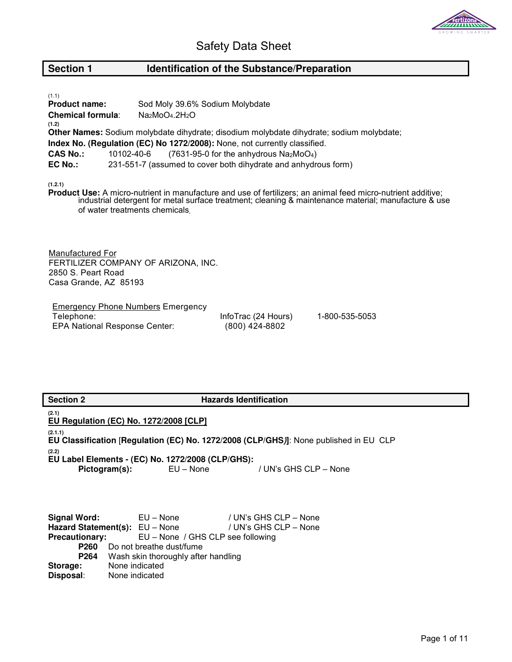

# **Section 1** Identification of the Substance/Preparation

| (1.1)<br><b>Product name:</b>     | Sod Moly 39.6% Sodium Molybdate                                                                                       |  |
|-----------------------------------|-----------------------------------------------------------------------------------------------------------------------|--|
|                                   |                                                                                                                       |  |
| <b>Chemical formula:</b><br>(1.2) | $Na_2MoO_4.2H_2O$                                                                                                     |  |
|                                   | Other Names: Sodium molybdate dihydrate; disodium molybdate dihydrate; sodium molybdate;                              |  |
|                                   | Index No. (Regulation (EC) No 1272/2008): None, not currently classified.                                             |  |
| <b>CAS No.:</b>                   | $(7631-95-0)$ for the anhydrous Na <sub>2</sub> MoO <sub>4</sub> )<br>10102-40-6                                      |  |
| EC No.:                           | 231-551-7 (assumed to cover both dihydrate and anhydrous form)                                                        |  |
| (1.2.1)                           | Basilise III est Analysis and latent and anti-day and announced funktion of a state of faciliarian and anti-different |  |

**Product Use:** A micro-nutrient in manufacture and use of fertilizers; an animal feed micro-nutrient additive; industrial detergent for metal surface treatment; cleaning & maintenance material; manufacture & use of water treatments chemicals**.**

Manufactured For FERTILIZER COMPANY OF ARIZONA, INC. 2850 S. Peart Road Casa Grande, AZ 85193

**Emergency Phone Numbers Emergency** Telephone: EPA National Response Center:

InfoTrac (24 Hours) (800) 424-8802

1-800-535-5053

| <b>Section 2</b>                                           | <b>Hazards Identification</b>                                                         |
|------------------------------------------------------------|---------------------------------------------------------------------------------------|
| (2.1)<br>EU Regulation (EC) No. 1272/2008 [CLP]            |                                                                                       |
| (2.1.1)                                                    |                                                                                       |
|                                                            | EU Classification [Regulation (EC) No. 1272/2008 (CLP/GHS)]: None published in EU CLP |
| (2.2)                                                      |                                                                                       |
| EU Label Elements - (EC) No. 1272/2008 (CLP/GHS):          |                                                                                       |
| Pictogram(s):                                              | EU – None / UN's GHS CLP – None                                                       |
|                                                            |                                                                                       |
|                                                            |                                                                                       |
|                                                            |                                                                                       |
| Signal Word: EU – None                                     | / UN's GHS CLP – None                                                                 |
| Hazard Statement(s): EU - None                             | / UN's GHS CLP – None                                                                 |
| <b>Precautionary:</b><br>EU – None / GHS CLP see following |                                                                                       |
| <b>P260</b> Do not breathe dust/fume                       |                                                                                       |
| Wash skin thoroughly after handling<br>P264                |                                                                                       |
| None indicated<br>Storage:                                 |                                                                                       |
| Disposal:<br>None indicated                                |                                                                                       |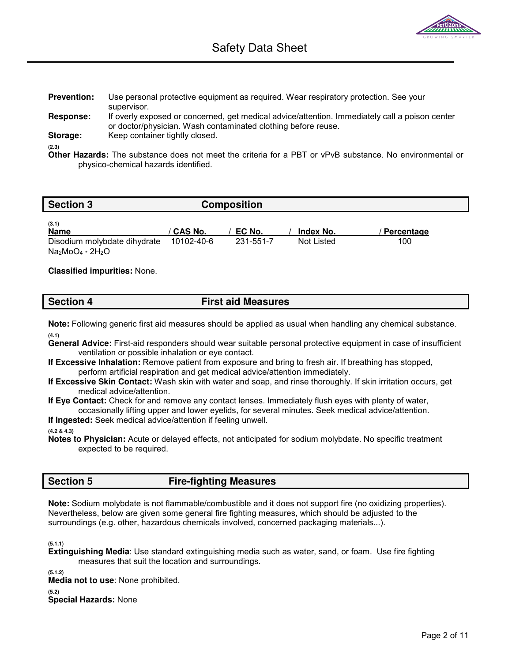| <b>Prevention:</b> | Use personal protective equipment as required. Wear respiratory protection. See your           |
|--------------------|------------------------------------------------------------------------------------------------|
|                    | supervisor.                                                                                    |
| Response:          | If overly exposed or concerned, get medical advice/attention. Immediately call a poison center |
|                    | or doctor/physician. Wash contaminated clothing before reuse.                                  |

**Storage:** Keep container tightly closed.

**(2.3)** 

**Other Hazards:** The substance does not meet the criteria for a PBT or vPvB substance. No environmental or physico-chemical hazards identified.

| <b>Section 3</b>                                 | <b>Composition</b> |           |            |            |
|--------------------------------------------------|--------------------|-----------|------------|------------|
| (3.1)<br><b>Name</b>                             | <b>CAS No.</b>     | EC No.    | Index No.  | Percentage |
| Disodium molybdate dihydrate<br>$Na2MoO4 * 2H2O$ | 10102-40-6         | 231-551-7 | Not Listed | 100        |

## **Classified impurities:** None.

| <b>Section 4</b> | <b>First aid Measures</b> |
|------------------|---------------------------|
|                  |                           |

**Note:** Following generic first aid measures should be applied as usual when handling any chemical substance. **(4.1)** 

- **General Advice:** First-aid responders should wear suitable personal protective equipment in case of insufficient ventilation or possible inhalation or eye contact.
- **If Excessive Inhalation:** Remove patient from exposure and bring to fresh air. If breathing has stopped, perform artificial respiration and get medical advice/attention immediately.
- **If Excessive Skin Contact:** Wash skin with water and soap, and rinse thoroughly. If skin irritation occurs, get medical advice/attention.

**If Eye Contact:** Check for and remove any contact lenses. Immediately flush eyes with plenty of water, occasionally lifting upper and lower eyelids, for several minutes. Seek medical advice/attention.

**If Ingested:** Seek medical advice/attention if feeling unwell.

#### **(4.2 & 4.3)**

**Notes to Physician:** Acute or delayed effects, not anticipated for sodium molybdate. No specific treatment expected to be required.

# **Section 5 Fire-fighting Measures**

**Note:** Sodium molybdate is not flammable/combustible and it does not support fire (no oxidizing properties). Nevertheless, below are given some general fire fighting measures, which should be adjusted to the surroundings (e.g. other, hazardous chemicals involved, concerned packaging materials...).

**(5.1.1)** 

**Extinguishing Media**: Use standard extinguishing media such as water, sand, or foam. Use fire fighting measures that suit the location and surroundings.

**(5.1.2)** 

**Media not to use**: None prohibited.

**(5.2)** 

**Special Hazards:** None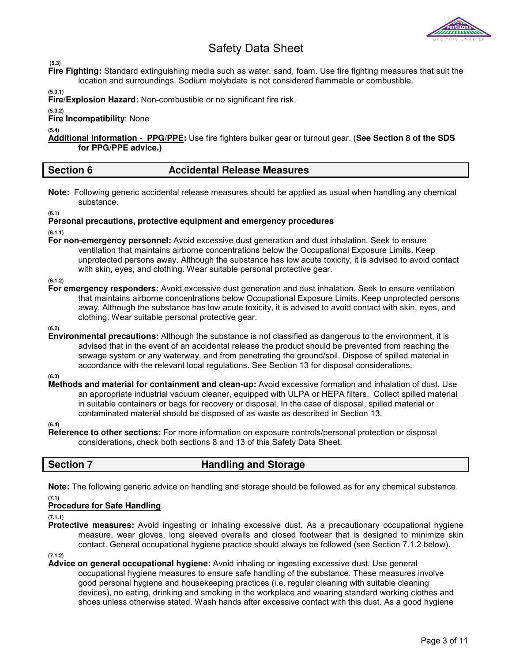

 **(5.3)** 

**Fire Fighting:** Standard extinguishing media such as water, sand, foam. Use fire fighting measures that suit the location and surroundings. Sodium molybdate is not considered flammable or combustible.

**(5.3.1)** 

**Fire/Explosion Hazard:** Non-combustible or no significant fire risk.

**(5.3.2) Fire Incompatibility**: None

**(5.4)** 

**Additional Information - PPG/PPE:** Use fire fighters bulker gear or turnout gear. (**See Section 8 of the SDS for PPG/PPE advice.)**

## **Section 6 Accidental Release Measures**

**Note:** Following generic accidental release measures should be applied as usual when handling any chemical substance.

**(6.1)** 

## **Personal precautions, protective equipment and emergency procedures**

**(6.1.1)** 

**For non-emergency personnel:** Avoid excessive dust generation and dust inhalation. Seek to ensure ventilation that maintains airborne concentrations below the Occupational Exposure Limits. Keep unprotected persons away. Although the substance has low acute toxicity, it is advised to avoid contact with skin, eyes, and clothing. Wear suitable personal protective gear.

**(6.1.2)** 

**For emergency responders:** Avoid excessive dust generation and dust inhalation. Seek to ensure ventilation that maintains airborne concentrations below Occupational Exposure Limits. Keep unprotected persons away. Although the substance has low acute toxicity, it is advised to avoid contact with skin, eyes, and clothing. Wear suitable personal protective gear.

**(6.2)**

**Environmental precautions:** Although the substance is not classified as dangerous to the environment, it is advised that in the event of an accidental release the product should be prevented from reaching the sewage system or any waterway, and from penetrating the ground/soil. Dispose of spilled material in accordance with the relevant local regulations. See Section 13 for disposal considerations.

**(6.3)** 

**Methods and material for containment and clean-up:** Avoid excessive formation and inhalation of dust. Use an appropriate industrial vacuum cleaner, equipped with ULPA or HEPA filters. Collect spilled material in suitable containers or bags for recovery or disposal. In the case of disposal, spilled material or contaminated material should be disposed of as waste as described in Section 13.

**(6.4)**

**Reference to other sections:** For more information on exposure controls/personal protection or disposal considerations, check both sections 8 and 13 of this Safety Data Sheet.

# **Section 7 Handling and Storage**

**Note:** The following generic advice on handling and storage should be followed as for any chemical substance.

#### **(7.1) Procedure for Safe Handling**

**(7.1.1)** 

**Protective measures:** Avoid ingesting or inhaling excessive dust. As a precautionary occupational hygiene measure, wear gloves, long sleeved overalls and closed footwear that is designed to minimize skin contact. General occupational hygiene practice should always be followed (see Section 7.1.2 below).

**(7.1.2)** 

**Advice on general occupational hygiene:** Avoid inhaling or ingesting excessive dust. Use general occupational hygiene measures to ensure safe handling of the substance. These measures involve good personal hygiene and housekeeping practices (i.e. regular cleaning with suitable cleaning devices), no eating, drinking and smoking in the workplace and wearing standard working clothes and shoes unless otherwise stated. Wash hands after excessive contact with this dust. As a good hygiene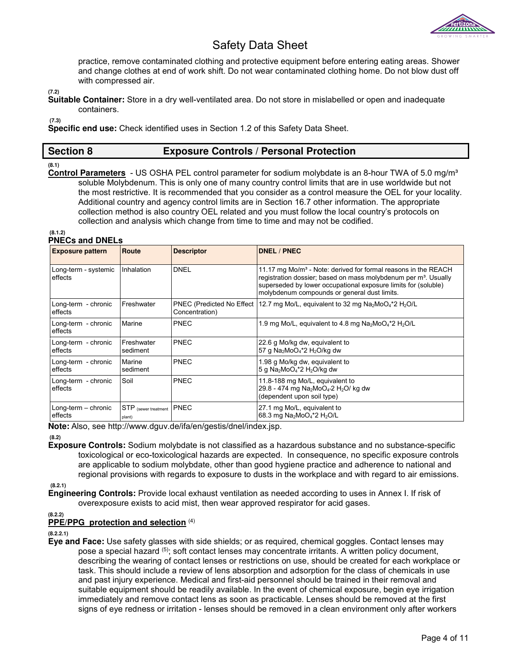

practice, remove contaminated clothing and protective equipment before entering eating areas. Shower and change clothes at end of work shift. Do not wear contaminated clothing home. Do not blow dust off with compressed air.

**(7.2)** 

**Suitable Container:** Store in a dry well-ventilated area. Do not store in mislabelled or open and inadequate containers.

 **(7.3)** 

**Specific end use:** Check identified uses in Section 1.2 of this Safety Data Sheet.

# **Section 8 Exposure Controls / Personal Protection**

#### **(8.1)**

**Control Parameters** - US OSHA PEL control parameter for sodium molybdate is an 8-hour TWA of 5.0 mg/m³ soluble Molybdenum. This is only one of many country control limits that are in use worldwide but not the most restrictive. It is recommended that you consider as a control measure the OEL for your locality. Additional country and agency control limits are in Section 16.7 other information. The appropriate collection method is also country OEL related and you must follow the local country's protocols on collection and analysis which change from time to time and may not be codified.

#### **(8.1.2) PNECs and DNELs**

| <b>Exposure pattern</b>         | Route                          | <b>Descriptor</b> | <b>DNEL / PNEC</b>                                                                                                                                                                                                                                                          |
|---------------------------------|--------------------------------|-------------------|-----------------------------------------------------------------------------------------------------------------------------------------------------------------------------------------------------------------------------------------------------------------------------|
| Long-term - systemic<br>effects | Inhalation                     | <b>DNEL</b>       | 11.17 mg Mo/m <sup>3</sup> - Note: derived for formal reasons in the REACH<br>registration dossier; based on mass molybdenum per m <sup>3</sup> . Usually<br>superseded by lower occupational exposure limits for (soluble)<br>molybdenum compounds or general dust limits. |
| Long-term - chronic<br>effects  | Freshwater                     | Concentration)    | PNEC (Predicted No Effect   12.7 mg Mo/L, equivalent to 32 mg Na <sub>2</sub> MoO <sub>4</sub> *2 H <sub>2</sub> O/L                                                                                                                                                        |
| Long-term - chronic<br>effects  | Marine                         | <b>PNEC</b>       | 1.9 mg Mo/L, equivalent to 4.8 mg Na <sub>2</sub> MoO <sub>4</sub> *2 H <sub>2</sub> O/L                                                                                                                                                                                    |
| Long-term - chronic<br>effects  | Freshwater<br>sediment         | <b>PNEC</b>       | 22.6 g Mo/kg dw, equivalent to<br>57 g Na <sub>2</sub> MoO <sub>4</sub> *2 H <sub>2</sub> O/kg dw                                                                                                                                                                           |
| Long-term - chronic<br>effects  | Marine<br>sediment             | <b>PNEC</b>       | 1.98 g Mo/kg dw, equivalent to<br>5 g Na <sub>2</sub> MoO <sub>4</sub> *2 H <sub>2</sub> O/kg dw                                                                                                                                                                            |
| Long-term - chronic<br>effects  | Soil                           | <b>PNEC</b>       | 11.8-188 mg Mo/L, equivalent to<br>29.8 - 474 mg Na <sub>2</sub> MoO <sub>4</sub> 2 H <sub>2</sub> O/ kg dw<br>(dependent upon soil type)                                                                                                                                   |
| Long-term - chronic<br>effects  | STP (sewer treatment<br>plant) | <b>PNEC</b>       | 27.1 mg Mo/L, equivalent to<br>68.3 mg Na <sub>2</sub> MoO <sub>4</sub> *2 H <sub>2</sub> O/L                                                                                                                                                                               |

**Note:** Also, see http://www.dguv.de/ifa/en/gestis/dnel/index.jsp.

 **(8.2)** 

**Exposure Controls:** Sodium molybdate is not classified as a hazardous substance and no substance-specific toxicological or eco-toxicological hazards are expected. In consequence, no specific exposure controls are applicable to sodium molybdate, other than good hygiene practice and adherence to national and regional provisions with regards to exposure to dusts in the workplace and with regard to air emissions.

**(8.2.1)** 

**Engineering Controls:** Provide local exhaust ventilation as needed according to uses in Annex I. If risk of overexposure exists to acid mist, then wear approved respirator for acid gases.

**(8.2.2)** 

## **PPE/PPG protection and selection** (4)

**(8.2.2.1)** 

**Eye and Face:** Use safety glasses with side shields; or as required, chemical goggles. Contact lenses may pose a special hazard (5); soft contact lenses may concentrate irritants. A written policy document, describing the wearing of contact lenses or restrictions on use, should be created for each workplace or task. This should include a review of lens absorption and adsorption for the class of chemicals in use and past injury experience. Medical and first-aid personnel should be trained in their removal and suitable equipment should be readily available. In the event of chemical exposure, begin eye irrigation immediately and remove contact lens as soon as practicable. Lenses should be removed at the first signs of eye redness or irritation - lenses should be removed in a clean environment only after workers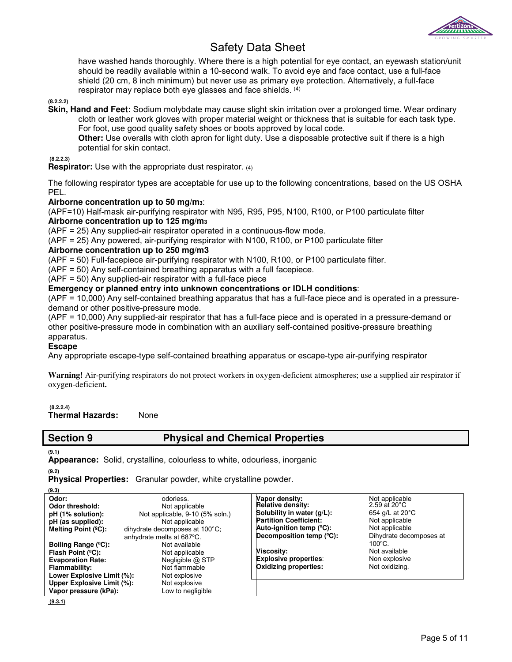

have washed hands thoroughly. Where there is a high potential for eye contact, an eyewash station/unit should be readily available within a 10-second walk. To avoid eye and face contact, use a full-face shield (20 cm, 8 inch minimum) but never use as primary eye protection. Alternatively, a full-face respirator may replace both eye glasses and face shields. (4)

#### **(8.2.2.2)**

**Skin, Hand and Feet:** Sodium molybdate may cause slight skin irritation over a prolonged time. Wear ordinary cloth or leather work gloves with proper material weight or thickness that is suitable for each task type. For foot, use good quality safety shoes or boots approved by local code.

**Other:** Use overalls with cloth apron for light duty. Use a disposable protective suit if there is a high potential for skin contact.

 **(8.2.2.3)** 

**Respirator:** Use with the appropriate dust respirator. (4)

The following respirator types are acceptable for use up to the following concentrations, based on the US OSHA PEL.

### **Airborne concentration up to 50 mg/m3**:

(APF=10) Half-mask air-purifying respirator with N95, R95, P95, N100, R100, or P100 particulate filter **Airborne concentration up to 125 mg/m<sup>3</sup>**

(APF = 25) Any supplied-air respirator operated in a continuous-flow mode.

(APF = 25) Any powered, air-purifying respirator with N100, R100, or P100 particulate filter

### **Airborne concentration up to 250 mg/m3**

(APF = 50) Full-facepiece air-purifying respirator with N100, R100, or P100 particulate filter.

(APF = 50) Any self-contained breathing apparatus with a full facepiece.

(APF = 50) Any supplied-air respirator with a full-face piece

#### **Emergency or planned entry into unknown concentrations or IDLH conditions:**

(APF = 10,000) Any self-contained breathing apparatus that has a full-face piece and is operated in a pressuredemand or other positive-pressure mode.

(APF = 10,000) Any supplied-air respirator that has a full-face piece and is operated in a pressure-demand or other positive-pressure mode in combination with an auxiliary self-contained positive-pressure breathing apparatus.

#### **Escape**

Any appropriate escape-type self-contained breathing apparatus or escape-type air-purifying respirator

**Warning!** Air-purifying respirators do not protect workers in oxygen-deficient atmospheres; use a supplied air respirator if oxygen-deficient**.** 

#### **(8.2.2.4)**

**Thermal Hazards:** None

## **Section 9 Physical and Chemical Properties**

**(9.1)** 

**Appearance:** Solid, crystalline, colourless to white, odourless, inorganic

**(9.2)** 

**Physical Properties:** Granular powder, white crystalline powder.

**(9.3)** 

| Odor:<br>Odor threshold:<br>pH (1% solution):<br>pH (as supplied):<br>Melting Point $(°C)$ :                                                                                  | odorless.<br>Not applicable<br>Not applicable, 9-10 (5% soln.)<br>Not applicable<br>dihydrate decomposes at 100°C;<br>anhydrate melts at 687°C. | Vapor density:<br><b>Relative density:</b><br>Solubility in water (q/L):<br><b>Partition Coefficient:</b><br>Auto-ignition temp $(°C)$ :<br>Decomposition temp $(^{\circ}C)$ : | Not applicable<br>$2.59$ at $20^{\circ}$ C<br>654 g/L at 20°C<br>Not applicable<br>Not applicable<br>Dihydrate decomposes at |
|-------------------------------------------------------------------------------------------------------------------------------------------------------------------------------|-------------------------------------------------------------------------------------------------------------------------------------------------|--------------------------------------------------------------------------------------------------------------------------------------------------------------------------------|------------------------------------------------------------------------------------------------------------------------------|
| Boiling Range (°C):<br>Flash Point $(°C)$ :<br><b>Evaporation Rate:</b><br>Flammability:<br>Lower Explosive Limit (%):<br>Upper Explosive Limit (%):<br>Vapor pressure (kPa): | Not available<br>Not applicable<br>Negligible @ STP<br>Not flammable<br>Not explosive<br>Not explosive<br>Low to negligible                     | <b>Viscosity:</b><br><b>Explosive properties:</b><br><b>Oxidizing properties:</b>                                                                                              | $100^{\circ}$ C.<br>Not available<br>Non explosive<br>Not oxidizing.                                                         |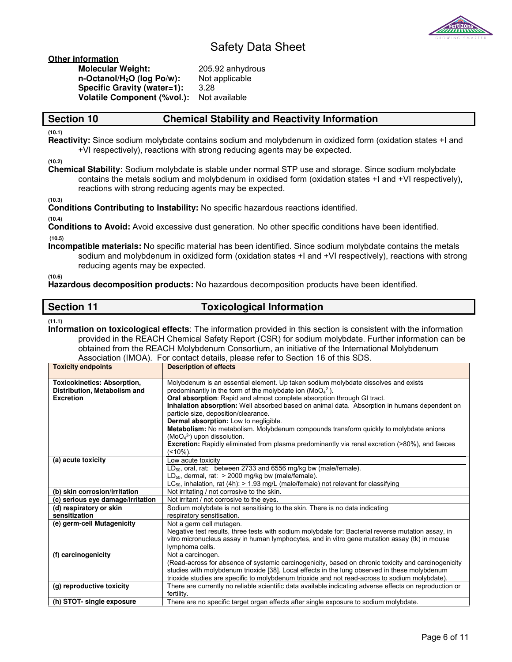

**Other information**

| <b>Molecular Weight:</b>               | 205.9 |
|----------------------------------------|-------|
| n-Octanol/H <sub>2</sub> O (log Po/w): | Not a |
| Specific Gravity (water=1):            | 3.28  |
| <b>Volatile Component (%vol.):</b>     | Not a |
|                                        |       |

05.92 anhydrous **ot applicable lot available** 

## **Section 10 Chemical Stability and Reactivity Information**

**(10.1)** 

**Reactivity:** Since sodium molybdate contains sodium and molybdenum in oxidized form (oxidation states +I and +VI respectively), reactions with strong reducing agents may be expected.

**(10.2)** 

**Chemical Stability:** Sodium molybdate is stable under normal STP use and storage. Since sodium molybdate contains the metals sodium and molybdenum in oxidised form (oxidation states +I and +VI respectively), reactions with strong reducing agents may be expected.

**(10.3)** 

**Conditions Contributing to Instability:** No specific hazardous reactions identified.

**(10.4)** 

**Conditions to Avoid:** Avoid excessive dust generation. No other specific conditions have been identified.  **(10.5)** 

**Incompatible materials:** No specific material has been identified. Since sodium molybdate contains the metals sodium and molybdenum in oxidized form (oxidation states +I and +VI respectively), reactions with strong reducing agents may be expected.

**(10.6)** 

**Hazardous decomposition products:** No hazardous decomposition products have been identified.

## **Section 11** Toxicological Information

**(11.1)** 

**Information on toxicological effects**: The information provided in this section is consistent with the information provided in the REACH Chemical Safety Report (CSR) for sodium molybdate. Further information can be obtained from the REACH Molybdenum Consortium, an initiative of the International Molybdenum Association (IMOA). For contact details, please refer to Section 16 of this SDS.

| <b>Toxicity endpoints</b>          | Necessation (inter t). The contact actually, product force to economic or this experi-<br><b>Description of effects</b>                                                                                   |
|------------------------------------|-----------------------------------------------------------------------------------------------------------------------------------------------------------------------------------------------------------|
| <b>Toxicokinetics: Absorption,</b> | Molybdenum is an essential element. Up taken sodium molybdate dissolves and exists                                                                                                                        |
| Distribution, Metabolism and       | predominantly in the form of the molybdate ion ( $\text{MoO}_4^2$ ).                                                                                                                                      |
| <b>Excretion</b>                   | Oral absorption: Rapid and almost complete absorption through GI tract.                                                                                                                                   |
|                                    | Inhalation absorption: Well absorbed based on animal data. Absorption in humans dependent on                                                                                                              |
|                                    | particle size, deposition/clearance.                                                                                                                                                                      |
|                                    | Dermal absorption: Low to negligible.                                                                                                                                                                     |
|                                    | Metabolism: No metabolism. Molybdenum compounds transform quickly to molybdate anions                                                                                                                     |
|                                    | $(MoO42)$ upon dissolution.                                                                                                                                                                               |
|                                    | <b>Excretion:</b> Rapidly eliminated from plasma predominantly via renal excretion (>80%), and faeces                                                                                                     |
|                                    | (<10%).                                                                                                                                                                                                   |
| (a) acute toxicity                 | Low acute toxicity                                                                                                                                                                                        |
|                                    | LD <sub>50</sub> , oral, rat: between 2733 and 6556 mg/kg bw (male/female).                                                                                                                               |
|                                    | $LD_{50}$ , dermal, rat: > 2000 mg/kg bw (male/female).                                                                                                                                                   |
|                                    | $LC_{50}$ , inhalation, rat (4h): > 1.93 mg/L (male/female) not relevant for classifying                                                                                                                  |
| (b) skin corrosion/irritation      | Not irritating / not corrosive to the skin.                                                                                                                                                               |
| (c) serious eye damage/irritation  | Not irritant / not corrosive to the eyes.                                                                                                                                                                 |
| (d) respiratory or skin            | Sodium molybdate is not sensitising to the skin. There is no data indicating                                                                                                                              |
| sensitization                      | respiratory sensitisation.                                                                                                                                                                                |
| (e) germ-cell Mutagenicity         | Not a germ cell mutagen.                                                                                                                                                                                  |
|                                    | Negative test results, three tests with sodium molybdate for: Bacterial reverse mutation assay, in                                                                                                        |
|                                    | vitro micronucleus assay in human lymphocytes, and in vitro gene mutation assay (tk) in mouse                                                                                                             |
|                                    | lymphoma cells.                                                                                                                                                                                           |
| (f) carcinogenicity                | Not a carcinogen.                                                                                                                                                                                         |
|                                    | (Read-across for absence of systemic carcinogenicity, based on chronic toxicity and carcinogenicity                                                                                                       |
|                                    | studies with molybdenum trioxide [38]. Local effects in the lung observed in these molybdenum                                                                                                             |
| (g) reproductive toxicity          | trioxide studies are specific to molybdenum trioxide and not read-across to sodium molybdate).<br>There are currently no reliable scientific data available indicating adverse effects on reproduction or |
|                                    | fertility.                                                                                                                                                                                                |
| (h) STOT- single exposure          |                                                                                                                                                                                                           |
|                                    | There are no specific target organ effects after single exposure to sodium molybdate.                                                                                                                     |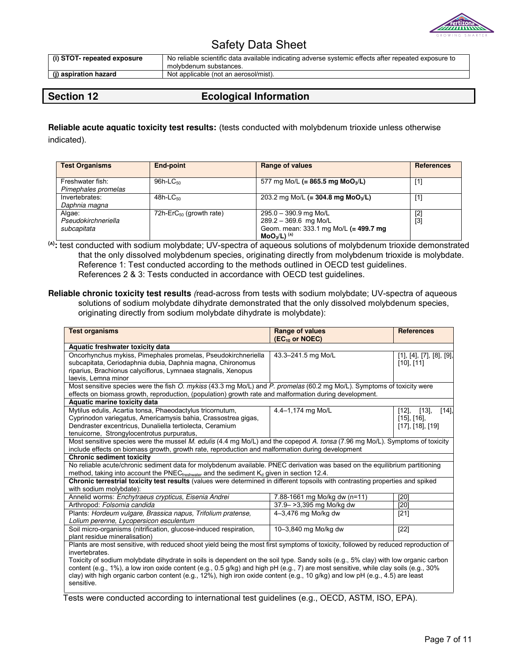

| (i) STOT- repeated exposure | No reliable scientific data available indicating adverse systemic effects after repeated exposure to<br>molybdenum substances. |
|-----------------------------|--------------------------------------------------------------------------------------------------------------------------------|
| (j) aspiration hazard       | Not applicable (not an aerosol/mist).                                                                                          |

# **Section 12 Ecological Information**

**Reliable acute aquatic toxicity test results:** (tests conducted with molybdenum trioxide unless otherwise indicated).

| <b>Test Organisms</b>                        | <b>End-point</b>              | <b>Range of values</b>                                                                                                    | <b>References</b> |
|----------------------------------------------|-------------------------------|---------------------------------------------------------------------------------------------------------------------------|-------------------|
| Freshwater fish:<br>Pimephales promelas      | $96h$ -LC $50$                | 577 mg Mo/L (= 865.5 mg MoO <sub>3</sub> /L)                                                                              | $[1]$             |
| Invertebrates:<br>Daphnia magna              | $48h$ -LC <sub>50</sub>       | 203.2 mg Mo/L (= 304.8 mg MoO <sub>3</sub> /L)                                                                            | $\left[1\right]$  |
| Algae:<br>Pseudokirchneriella<br>subcapitata | 72h-Er $C_{50}$ (growth rate) | $295.0 - 390.9$ mg Mo/L<br>$289.2 - 369.6$ mg Mo/L<br>Geom. mean: 333.1 mg Mo/L (= 499.7 mg<br>$MO_{3}/L)$ <sup>(A)</sup> | [2]<br>[3]        |

**(A) :** test conducted with sodium molybdate; UV-spectra of aqueous solutions of molybdenum trioxide demonstrated that the only dissolved molybdenum species, originating directly from molybdenum trioxide is molybdate. Reference 1: Test conducted according to the methods outlined in OECD test guidelines. References 2 & 3: Tests conducted in accordance with OECD test guidelines.

**Reliable chronic toxicity test results** (read-across from tests with sodium molybdate; UV-spectra of aqueous solutions of sodium molybdate dihydrate demonstrated that the only dissolved molybdenum species, originating directly from sodium molybdate dihydrate is molybdate):

| <b>Test organisms</b>                                                                                                                                                                                                                                                                                                                                                                                                                                                                                                                                                           | Range of values<br>(EC <sub>10</sub> or NOEC) | <b>References</b>                                                             |  |
|---------------------------------------------------------------------------------------------------------------------------------------------------------------------------------------------------------------------------------------------------------------------------------------------------------------------------------------------------------------------------------------------------------------------------------------------------------------------------------------------------------------------------------------------------------------------------------|-----------------------------------------------|-------------------------------------------------------------------------------|--|
| Aquatic freshwater toxicity data                                                                                                                                                                                                                                                                                                                                                                                                                                                                                                                                                |                                               |                                                                               |  |
| Oncorhynchus mykiss, Pimephales promelas, Pseudokirchneriella<br>subcapitata, Ceriodaphnia dubia, Daphnia magna, Chironomus<br>riparius, Brachionus calyciflorus, Lymnaea stagnalis, Xenopus<br>laevis, Lemna minor                                                                                                                                                                                                                                                                                                                                                             | 43.3-241.5 mg Mo/L                            | $[1]$ , $[4]$ , $[7]$ , $[8]$ , $[9]$ ,<br>$[10]$ , $[11]$                    |  |
| Most sensitive species were the fish O. mykiss (43.3 mg Mo/L) and P. promelas (60.2 mg Mo/L). Symptoms of toxicity were<br>effects on biomass growth, reproduction, (population) growth rate and malformation during development.                                                                                                                                                                                                                                                                                                                                               |                                               |                                                                               |  |
| Aquatic marine toxicity data<br>Mytilus edulis, Acartia tonsa, Phaeodactylus tricornutum,<br>Cyprinodon variegatus, Americamysis bahia, Crassostrea gigas,<br>Dendraster excentricus, Dunaliella tertiolecta, Ceramium                                                                                                                                                                                                                                                                                                                                                          | 4.4-1,174 mg Mo/L                             | [14]<br>$[12]$ ,<br>$[13]$ ,<br>$[15]$ , $[16]$ ,<br>$[17]$ , $[18]$ , $[19]$ |  |
| tenuicorne, Strongylocentrotus purpuratus,<br>Most sensitive species were the mussel M. edulis (4.4 mg Mo/L) and the copepod A. tonsa (7.96 mg Mo/L). Symptoms of toxicity                                                                                                                                                                                                                                                                                                                                                                                                      |                                               |                                                                               |  |
| include effects on biomass growth, growth rate, reproduction and malformation during development<br><b>Chronic sediment toxicity</b>                                                                                                                                                                                                                                                                                                                                                                                                                                            |                                               |                                                                               |  |
| No reliable acute/chronic sediment data for molybdenum available. PNEC derivation was based on the equilibrium partitioning<br>method, taking into account the PNEC $_{\text{freshwater}}$ and the sediment $K_d$ given in section 12.4.<br>Chronic terrestrial toxicity test results (values were determined in different topsoils with contrasting properties and spiked<br>with sodium molybdate):                                                                                                                                                                           |                                               |                                                                               |  |
| Annelid worms: Enchytraeus crypticus, Eisenia Andrei                                                                                                                                                                                                                                                                                                                                                                                                                                                                                                                            | 7.88-1661 mg Mo/kg dw (n=11)                  | [20]                                                                          |  |
| Arthropod: Folsomia candida                                                                                                                                                                                                                                                                                                                                                                                                                                                                                                                                                     | 37.9->3,395 mg Mo/kg dw                       | [20]                                                                          |  |
| Plants: Hordeum vulgare, Brassica napus, Trifolium pratense,<br>Lolium perenne, Lycopersicon esculentum                                                                                                                                                                                                                                                                                                                                                                                                                                                                         | 4-3,476 mg Mo/kg dw                           | $[21]$                                                                        |  |
| Soil micro-organisms (nitrification, glucose-induced respiration,<br>plant residue mineralisation)                                                                                                                                                                                                                                                                                                                                                                                                                                                                              | 10-3,840 mg Mo/kg dw                          | $[22]$                                                                        |  |
| Plants are most sensitive, with reduced shoot yield being the most first symptoms of toxicity, followed by reduced reproduction of<br>invertebrates.<br>Toxicity of sodium molybdate dihydrate in soils is dependent on the soil type. Sandy soils (e.g., 5% clay) with low organic carbon<br>content (e.g., 1%), a low iron oxide content (e.g., 0.5 g/kg) and high pH (e.g., 7) are most sensitive, while clay soils (e.g., 30%<br>clay) with high organic carbon content (e.g., 12%), high iron oxide content (e.g., 10 g/kg) and low pH (e.g., 4.5) are least<br>sensitive. |                                               |                                                                               |  |

Tests were conducted according to international test guidelines (e.g., OECD, ASTM, ISO, EPA).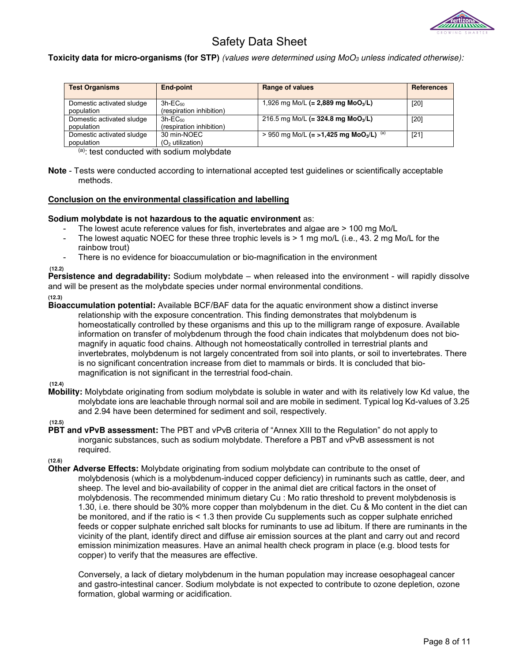

**Toxicity data for micro-organisms (for STP)** (values were determined using MoO<sub>3</sub> unless indicated otherwise):

| <b>Test Organisms</b>                                                                     | End-point                                          | <b>Range of values</b>                                         | <b>References</b> |
|-------------------------------------------------------------------------------------------|----------------------------------------------------|----------------------------------------------------------------|-------------------|
| Domestic activated sludge<br>population                                                   | $3h$ -E $C_{50}$<br>(respiration inhibition)       | 1,926 mg Mo/L (= 2,889 mg MoO <sub>3</sub> /L)                 | $[20]$            |
| Domestic activated sludge<br>population                                                   | $3h$ -EC <sub>50</sub><br>(respiration inhibition) | 216.5 mg Mo/L (= 324.8 mg MoO <sub>3</sub> /L)                 | $[20]$            |
| Domestic activated sludge<br>population<br>$\mathbf{A}$ and $\mathbf{A}$ and $\mathbf{A}$ | 30 min-NOEC<br>$(O2$ utilization)                  | > 950 mg Mo/L (= >1,425 mg MoO <sub>3</sub> /L) <sup>(a)</sup> | $[21]$            |

(a): test conducted with sodium molybdate

**Note** - Tests were conducted according to international accepted test guidelines or scientifically acceptable methods.

### **Conclusion on the environmental classification and labelling**

### **Sodium molybdate is not hazardous to the aquatic environment** as:

- The lowest acute reference values for fish, invertebrates and algae are > 100 mg Mo/L
- The lowest aquatic NOEC for these three trophic levels is > 1 mg mo/L (i.e., 43. 2 mg Mo/L for the rainbow trout)
- There is no evidence for bioaccumulation or bio-magnification in the environment

 **(12.2)** 

**Persistence and degradability:** Sodium molybdate – when released into the environment - will rapidly dissolve and will be present as the molybdate species under normal environmental conditions.

**(12.3)** 

**Bioaccumulation potential:** Available BCF/BAF data for the aquatic environment show a distinct inverse relationship with the exposure concentration. This finding demonstrates that molybdenum is homeostatically controlled by these organisms and this up to the milligram range of exposure. Available information on transfer of molybdenum through the food chain indicates that molybdenum does not biomagnify in aquatic food chains. Although not homeostatically controlled in terrestrial plants and invertebrates, molybdenum is not largely concentrated from soil into plants, or soil to invertebrates. There is no significant concentration increase from diet to mammals or birds. It is concluded that biomagnification is not significant in the terrestrial food-chain.

#### **(12.4)**

**Mobility:** Molybdate originating from sodium molybdate is soluble in water and with its relatively low Kd value, the molybdate ions are leachable through normal soil and are mobile in sediment. Typical log Kd-values of 3.25 and 2.94 have been determined for sediment and soil, respectively.

#### **(12.5)**

**PBT and vPvB assessment:** The PBT and vPvB criteria of "Annex XIII to the Regulation" do not apply to inorganic substances, such as sodium molybdate. Therefore a PBT and vPvB assessment is not required.

**(12.6)** 

**Other Adverse Effects:** Molybdate originating from sodium molybdate can contribute to the onset of molybdenosis (which is a molybdenum-induced copper deficiency) in ruminants such as cattle, deer, and sheep. The level and bio-availability of copper in the animal diet are critical factors in the onset of molybdenosis. The recommended minimum dietary Cu : Mo ratio threshold to prevent molybdenosis is 1.30, i.e. there should be 30% more copper than molybdenum in the diet. Cu & Mo content in the diet can be monitored, and if the ratio is < 1.3 then provide Cu supplements such as copper sulphate enriched feeds or copper sulphate enriched salt blocks for ruminants to use ad libitum. If there are ruminants in the vicinity of the plant, identify direct and diffuse air emission sources at the plant and carry out and record emission minimization measures. Have an animal health check program in place (e.g. blood tests for copper) to verify that the measures are effective.

Conversely, a lack of dietary molybdenum in the human population may increase oesophageal cancer and gastro-intestinal cancer. Sodium molybdate is not expected to contribute to ozone depletion, ozone formation, global warming or acidification.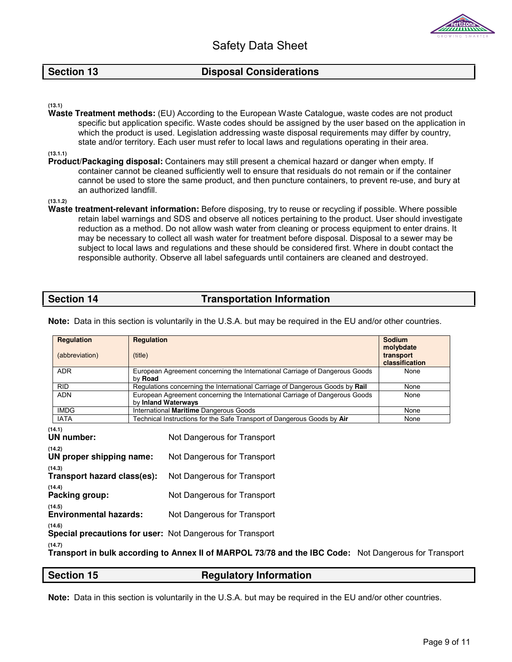

## **Section 13** Disposal Considerations

**(13.1)** 

**Waste Treatment methods:** (EU) According to the European Waste Catalogue, waste codes are not product specific but application specific. Waste codes should be assigned by the user based on the application in which the product is used. Legislation addressing waste disposal requirements may differ by country, state and/or territory. Each user must refer to local laws and regulations operating in their area.

**(13.1.1)** 

**Product/Packaging disposal:** Containers may still present a chemical hazard or danger when empty. If container cannot be cleaned sufficiently well to ensure that residuals do not remain or if the container cannot be used to store the same product, and then puncture containers, to prevent re-use, and bury at an authorized landfill.

**(13.1.2)** 

**Waste treatment-relevant information:** Before disposing, try to reuse or recycling if possible. Where possible retain label warnings and SDS and observe all notices pertaining to the product. User should investigate reduction as a method. Do not allow wash water from cleaning or process equipment to enter drains. It may be necessary to collect all wash water for treatment before disposal. Disposal to a sewer may be subject to local laws and regulations and these should be considered first. Where in doubt contact the responsible authority. Observe all label safeguards until containers are cleaned and destroyed.

## **Section 14** Transportation Information

|                                                                                                                                        | <b>Requlation</b><br>(abbreviation)                                        | <b>Regulation</b><br>(title)                                                                       |                                                                                                                          | <b>Sodium</b><br>molybdate<br>transport<br>classification |
|----------------------------------------------------------------------------------------------------------------------------------------|----------------------------------------------------------------------------|----------------------------------------------------------------------------------------------------|--------------------------------------------------------------------------------------------------------------------------|-----------------------------------------------------------|
|                                                                                                                                        | <b>ADR</b>                                                                 | European Agreement concerning the International Carriage of Dangerous Goods<br>by Road             |                                                                                                                          | None                                                      |
|                                                                                                                                        | <b>RID</b>                                                                 |                                                                                                    | Regulations concerning the International Carriage of Dangerous Goods by Rail                                             | None                                                      |
|                                                                                                                                        | <b>ADN</b>                                                                 | European Agreement concerning the International Carriage of Dangerous Goods<br>by Inland Waterways |                                                                                                                          | None                                                      |
|                                                                                                                                        | <b>IMDG</b>                                                                |                                                                                                    | International Maritime Dangerous Goods                                                                                   | None                                                      |
|                                                                                                                                        | <b>IATA</b>                                                                |                                                                                                    | Technical Instructions for the Safe Transport of Dangerous Goods by Air                                                  | None                                                      |
| (14.1)<br><b>UN number:</b><br>(14.2)<br>UN proper shipping name:<br>(14.3)<br>Transport hazard class(es):<br>(14.4)<br>Packing group: |                                                                            |                                                                                                    | Not Dangerous for Transport<br>Not Dangerous for Transport<br>Not Dangerous for Transport<br>Not Dangerous for Transport |                                                           |
| (14.5)<br><b>Environmental hazards:</b>                                                                                                |                                                                            |                                                                                                    | Not Dangerous for Transport                                                                                              |                                                           |
|                                                                                                                                        | (14.6)<br><b>Special precautions for user: Not Dangerous for Transport</b> |                                                                                                    |                                                                                                                          |                                                           |
| (14.7)<br>Transport in bulk according to Annex II of MARPOL 73/78 and the IBC Code: Not Dangerous for Transport                        |                                                                            |                                                                                                    |                                                                                                                          |                                                           |

**Note:** Data in this section is voluntarily in the U.S.A. but may be required in the EU and/or other countries.

### **Section 15** Regulatory Information

**Note:** Data in this section is voluntarily in the U.S.A. but may be required in the EU and/or other countries.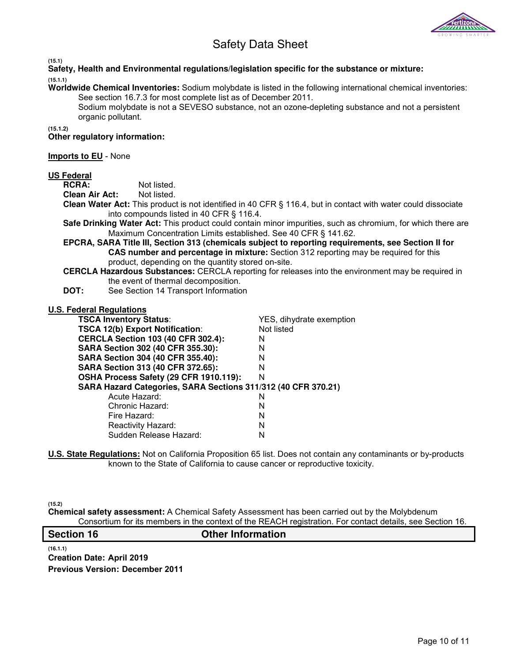

**(15.1)** 

**Safety, Health and Environmental regulations/legislation specific for the substance or mixture: (15.1.1)** 

**Worldwide Chemical Inventories:** Sodium molybdate is listed in the following international chemical inventories: See section 16.7.3 for most complete list as of December 2011.

Sodium molybdate is not a SEVESO substance, not an ozone-depleting substance and not a persistent organic pollutant.

**(15.1.2)**

**Other regulatory information:** 

## **Imports to EU** - None

# **US Federal**

Not listed.

**Clean Air Act:** Not listed.

**Clean Water Act:** This product is not identified in 40 CFR § 116.4, but in contact with water could dissociate into compounds listed in 40 CFR § 116.4.

**Safe Drinking Water Act:** This product could contain minor impurities, such as chromium, for which there are Maximum Concentration Limits established. See 40 CFR § 141.62.

**EPCRA, SARA Title III, Section 313 (chemicals subject to reporting requirements, see Section II for CAS number and percentage in mixture:** Section 312 reporting may be required for this product, depending on the quantity stored on-site.

**CERCLA Hazardous Substances:** CERCLA reporting for releases into the environment may be required in the event of thermal decomposition.

**DOT:** See Section 14 Transport Information

#### **U.S. Federal Regulations**

| YES, dihydrate exemption                                      |  |  |  |  |
|---------------------------------------------------------------|--|--|--|--|
| Not listed                                                    |  |  |  |  |
| N                                                             |  |  |  |  |
| N                                                             |  |  |  |  |
| N                                                             |  |  |  |  |
| N                                                             |  |  |  |  |
| N                                                             |  |  |  |  |
| SARA Hazard Categories, SARA Sections 311/312 (40 CFR 370.21) |  |  |  |  |
| N                                                             |  |  |  |  |
| N                                                             |  |  |  |  |
| N                                                             |  |  |  |  |
| N                                                             |  |  |  |  |
| N                                                             |  |  |  |  |
|                                                               |  |  |  |  |

**U.S. State Regulations:** Not on California Proposition 65 list. Does not contain any contaminants or by-products known to the State of California to cause cancer or reproductive toxicity.

**(15.2)** 

**Chemical safety assessment:** A Chemical Safety Assessment has been carried out by the Molybdenum Consortium for its members in the context of the REACH registration. For contact details, see Section 16.

| <b>Section 16</b> | <b>Other Information</b> |
|-------------------|--------------------------|
|                   |                          |

**(16.1.1) Creation Date: April 2019 Previous Version: December 2011**

Page 10 of 11